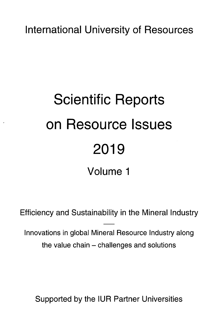International University of Resources

## Scientific Reports on Resource Issues 2019 Volume <sup>1</sup>

Efficiency and Sustainability in the Mineral Industry

Innovations in global Mineral Resource Industry along the value chain – challenges and solutions

Supported by the IUR Partner Universities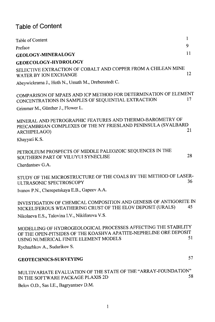## Table of Content

| Table of Content                                                                                                                                                             | 1  |
|------------------------------------------------------------------------------------------------------------------------------------------------------------------------------|----|
| Preface                                                                                                                                                                      | 9  |
| <b>GEOLOGY-MINERALOGY</b>                                                                                                                                                    | 11 |
| <b>GEOECOLOGY-HYDROLOGY</b>                                                                                                                                                  |    |
| SELECTIVE EXTRACTION OF COBALT AND COPPER FROM A CHILEAN MINE<br>WATER BY ION EXCHANGE                                                                                       | 12 |
| Abeywickrama J., Hoth N., Ussath M., Drebenstedt C.                                                                                                                          |    |
| COMPARISON OF MPAES AND ICP METHOD FOR DETERMINATION OF ELEMENT<br>CONCENTRATIONS IN SAMPLES OF SEQUENTIAL EXTRACTION                                                        | 17 |
| Grimmer M., Günther J., Flower L.                                                                                                                                            |    |
| MINERAL AND PETROGRAPHIC FEATURES AND THERMO-BAROMETRY OF<br>PRECAMBRIAN COMPLEXES OF THE NY FRIESLAND PENINSULA (SVALBARD<br>ARCHIPELAGO)                                   | 21 |
| Khayyati K.S.                                                                                                                                                                |    |
| PETROLEUM PROSPECTS OF MIDDLE PALEOZOIC SEQUENCES IN THE<br>SOUTHERN PART OF VILUYUI SYNECLISE                                                                               | 28 |
| Cherdantsev G.A.                                                                                                                                                             |    |
| STUDY OF THE MICROSTRUCTURE OF THE COALS BY THE METHOD OF LASER-<br>ULTRASONIC SPECTROSCOPY                                                                                  | 36 |
| Ivanov P.N., Cherepetskaya E.B., Gapeev A.A.                                                                                                                                 |    |
| INVESTIGATION OF CHEMICAL COMPOSITION AND GENESIS OF ANTIGORITE IN<br>NICKELIFEROUS WEATHERING CRUST OF THE ELOV DEPOSIT (URALS)                                             | 45 |
| Nikolaeva E.S., Talovina I.V., Nikiforova V.S.                                                                                                                               |    |
| MODELLING OF HYDROGEOLOGICAL PROCESSES AFFECTING THE STABILITY<br>OF THE OPEN-PITSIDES OF THE KOASHVA APATITE-NEPHELINE ORE DEPOSIT<br>USING NUMERICAL FINITE ELEMENT MODELS | 51 |
| Rychazhkov A., Sudarikov S.                                                                                                                                                  |    |
| <b>GEOTECHNICS-SURVEYING</b>                                                                                                                                                 | 57 |
| MULTIVARIATE EVALUATION OF THE STATE OF THE "ARRAY-FOUNDATION"<br>IN THE SOFTWARE PACKAGE PLAXIS 2D                                                                          | 58 |
| Belov O.D., Sas I.E., Bagryantsev D.M.                                                                                                                                       |    |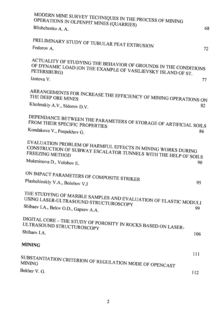| MODERN MINE SURVEY TECHNIQUES IN THE PROCESS OF MINING<br>OPERATIONS IN OLPENPIT MINES (QUARRIES)                                                         |     |
|-----------------------------------------------------------------------------------------------------------------------------------------------------------|-----|
| Blishchenko A. A.                                                                                                                                         | 68  |
| PRELIMINARY STUDY OF TUBULAR PEAT EXTRUSION                                                                                                               |     |
| Fedorov A.                                                                                                                                                | 72  |
| ACTUALITY OF STUDYING THE BEHAVIOR OF GROUNDS IN THE CONDITIONS<br>OF DYNAMIC LOAD (ON THE EXAMPLE OF VASILIEVSKY ISLAND OF ST.<br>PETERSBURG)            |     |
| Izotova V.                                                                                                                                                | 77  |
| ARRANGEMENTS FOR INCREASE THE EFFICIENCY OF MINING OPERATIONS ON                                                                                          |     |
| Kholmskiy A.V., Sidorov D.V.                                                                                                                              | 82. |
| DEPENDANCE BETWEEN THE PARAMETERS OF STORAGE OF ARTIFICIAL SOILS                                                                                          |     |
| Kondakova V., Pospekhov G.                                                                                                                                | 86  |
| EVALUATION PROBLEM OF HARMFUL EFFECTS IN MINING WORKS DURING<br>CONSTRUCTION OF SUBWAY ESCALATOR TUNNELS WITH THE HELP OF SOILS<br><b>FREEZING METHOD</b> |     |
| Mukminova D., Volohov E.                                                                                                                                  | 90  |
| ON IMPACT PARAMETERS OF COMPOSITE STRIKER                                                                                                                 |     |
| Plashchinskiy V.A., Bolobov V.I                                                                                                                           | 95  |
| THE STUDYING OF MARBLE SAMPLES AND EVALUATION OF ELASTIC MODULI<br>USING LASER-ULTRASOUND STRUCTUROSCOPY                                                  |     |
| Shibaev I.A., Belov O.D., Gapeev A.A.                                                                                                                     | 99  |
| DIGITAL CORE - THE STUDY OF POROSITY IN ROCKS BASED ON LASER-<br>ULTRASOUND STRUCTUROSCOPY                                                                |     |
| Shibaev I.A.                                                                                                                                              | 106 |
| <b>MINING</b>                                                                                                                                             |     |
|                                                                                                                                                           | 111 |
| SUBSTANTIATION CRITERION OF REGULATION MODE OF OPENCAST                                                                                                   |     |
| Bekher V. G.                                                                                                                                              | 112 |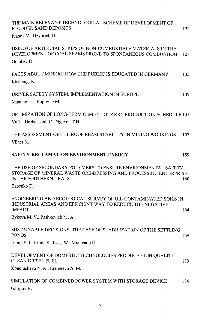| THE MAIN RELEVANT TECHNOLOGICAL SCHEME OF DEVELOPMENT OF<br>FLOODED SAND DEPOSITS                                                                                      | 122 |
|------------------------------------------------------------------------------------------------------------------------------------------------------------------------|-----|
| Ivanov V., Dzyurich D.                                                                                                                                                 |     |
| USING OF ARTIFICIAL STRIPS OF NON-COMBUSTIBLE MATERIALS IN THE<br>DEVELOPMENT OF COAL SEAMS PRONE TO SPONTANEOUS COMBUSTION<br>Golubev D.                              | 128 |
| FACTS ABOUT MINING: HOW THE PUBLIC IS EDUCATED IN GERMANY<br>Kleeberg, K.                                                                                              | 133 |
| DRIVER SAFETY SYSTEM. IMPLEMENTATION IN EUROPE<br>Manthey L., Popov D.M.                                                                                               | 137 |
| OPTIMIZATION OF LONG-TERM CEMENT QUARRY PRODUCTION SCHEDULE 145<br>Vu T., Drebenstedt C., Nguyen T.H.                                                                  |     |
| THE ASSESSMENT OF THE ROOF BEAM STABILITY IN MINING WORKINGS<br>Vilner M.                                                                                              | 153 |
| SAFETY-RECLAMATION-ENVIRONMENT-ENERGY                                                                                                                                  | 159 |
| THE USE OF SECONDARY POLYMERS TO ENSURE ENVIRONMENTAL SAFETY<br>STORAGE OF MINERAL WASTE ORE-DRESSING AND PROCESSING ENTERPRISE<br>IN THE SOUTHERN URALS<br>Babenko D. | 160 |
| ENGINEERING AND ECOLOGICAL SURVEY OF OIL-CONTAMINATED SOILS IN<br>INDUSTRIAL AREAS AND EFFICIENT WAY TO REDUCE THE NEGATIVE<br><b>IMPACT</b>                           | 164 |
| Bykova M. V., Pashkevich M. A.                                                                                                                                         |     |
| SUSTAINABLE DECISIONS: THE CASE OF STABILIZATION OF THE SETTLING<br><b>PONDS</b>                                                                                       | 169 |
| Irimie S. I., Irimie S., Kecs W., Munteanu R.                                                                                                                          |     |
| DEVELOPMENT OF DOMESTIC TECHNOLOGIES PRODUCE HIGH QUALITY<br><b>CLEAN DIESEL FUEL</b>                                                                                  | 179 |
| Kondrasheva N. K., Eremeeva A. M.                                                                                                                                      |     |
| SIMULATION OF COMBINED POWER SYSTEM WITH STORAGE DEVICE<br>Garipov B.                                                                                                  | 184 |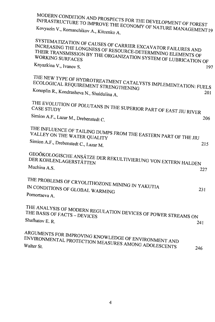| MODERN CONDITION AND PROSPECTS FOR THE DEVELOPMENT OF FOREST                                                                                                                                  |     |
|-----------------------------------------------------------------------------------------------------------------------------------------------------------------------------------------------|-----|
| INFRASTRUCTURE TO IMPROVE THE ECONOMY OF NATURE MANAGEMENT IS<br>Kovyazin V., Romanchikov A., Kitcenko A.                                                                                     |     |
| SYSTEMATIZATION OF CAUSES OF CARRIER EXCAVATOR FAILURES AND<br>INCREASING THE LONGNESS OF RESOURCE-DETERMINING ELEMENTS OF<br>THEIR TRANSMISSION BY THE ORGANIZATION SYSTEM OF LUBRICATION OF |     |
| Knyazkina V., Ivanov S.                                                                                                                                                                       | 197 |
| THE NEW TYPE OF HYDROTREATMENT CATALYSTS IMPLEMENTATION: FUELS<br>ECOLOGICAL REQUIREMENT STRENGTHENING                                                                                        |     |
| Konoplin R., Kondrasheva N., Shaidulina A.                                                                                                                                                    | 201 |
| THE EVOLUTION OF POLUTANS IN THE SUPERIOR PART OF EAST JIU RIVER                                                                                                                              |     |
| Simion A.F., Lazar M., Drebenstedt C.                                                                                                                                                         | 206 |
| THE INFLUENCE OF TAILING DUMPS FROM THE EASTERN PART OF THE JIU<br>VALLEY ON THE WATER QUALITY                                                                                                |     |
| Simion A.F., Drebenstedt C., Lazar M.                                                                                                                                                         | 215 |
| GEOÖKOLOGISCHE ANSÄTZE DER REKULTIVIERUNG VON EXTERN HALDEN<br>DER KOHLENLAGERSTÄTTEN<br>Muchina A.S.                                                                                         | 227 |
| THE PROBLEMS OF CRYOLITHOZONE MINING IN YAKUTIA<br>IN CONDITIONS OF GLOBAL WARMING<br>Pomortseva A.                                                                                           | 231 |
| THE ANALYSIS OF MODERN REGULATION DEVICES OF POWER STREAMS ON<br>THE BASIS OF FACTS - DEVICES<br>Shafhatov E. R.                                                                              | 241 |
| ARGUMENTS FOR IMPROVING KNOWLEDGE OF ENVIRONMENT AND<br>ENVIRONMENTAL PROTECTION MEASURES AMONG ADOLESCENTS                                                                                   | 246 |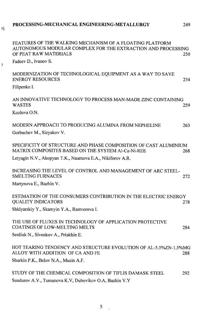## PROCESSING-MECHANICAL ENGINEERING-METALLURGY

249

 $\lambda$ 

 $\overline{7}$ 

| FEATURES OF THE WALKING MECHANISM OF A FLOATING PLATFORM<br>AUTONOMOUS MODULAR COMPLEX FOR THE EXTRACTION AND PROCESSING<br>OF PEAT RAW MATERIALS | 250 |
|---------------------------------------------------------------------------------------------------------------------------------------------------|-----|
| Fadeev D., Ivanov S.                                                                                                                              |     |
| MODERNIZATION OF TECHNOLOGICAL EQUIPMENT AS A WAY TO SAVE<br><b>ENERGY RESOURCES</b>                                                              | 254 |
| Filipenko I.                                                                                                                                      |     |
| AN INNOVATIVE TECHNOLOGY TO PROCESS MAN-MADE ZINC CONTAINING<br><b>WASTES</b>                                                                     | 259 |
| Kozlova O.N.                                                                                                                                      |     |
| MODERN APPROACH TO PRODUCING ALUMINA FROM NEPHELINE<br>Gorbachev M., Sizyakov V.                                                                  | 263 |
|                                                                                                                                                   |     |
| SPECIFICITY OF STRUCTURE AND PHASE COMPOSITION OF CAST ALUMINIUM<br>MATRIX COMPOSITES BASED ON THE SYSTEM Al-Ca-Ni-REE                            | 268 |
| Letyagin N.V., Akopyan T.K., Naumova E.A., Nikiforov A.R.                                                                                         |     |
| INCREASING THE LEVEL OF CONTROL AND MANAGEMENT OF ARC STEEL-<br><b>SMELTING FURNACES</b>                                                          | 272 |
| Martynova E., Bazhin V.                                                                                                                           |     |
| ESTIMATION OF THE CONSUMERS CONTRIBUTION IN THE ELECTRIC ENERGY<br><b>QUALITY INDICATORS</b>                                                      | 278 |
| Shklyarskiy Y., Skamyin Y.A., Rastvorova I.                                                                                                       |     |
| THE USE OF FLUXES IN TECHNOLOGY OF APPLICATION PROTECTIVE<br><b>COATINGS OF LOW-MELTING MELTS</b>                                                 | 284 |
| Serdiuk N., Sivenkov A., Priakhin E.                                                                                                              |     |
| HOT TEARING TENDENCY AND STRUCTURE EVOLUTION OF AL-5.5%ZN-1.5%MG<br>ALLOY WITH ADDITION OF CA AND FE                                              | 288 |
| Shurkin P.K., Belov N.A., Musin A.F.                                                                                                              |     |
| STUDY OF THE CHEMICAL COMPOSITION OF TIFLIS DAMASK STEEL<br>Sundurov A.V., Tumanova K.V, Dubovikov O.A, Bazhin V.Y                                | 292 |
|                                                                                                                                                   |     |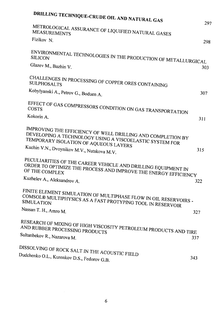| <b>DRILLING TECHNIQUE-CRUDE OIL AND NATURAL GAS</b>                                                                                                             |              |
|-----------------------------------------------------------------------------------------------------------------------------------------------------------------|--------------|
| METROLOGICAL ASSURANCE OF LIQUIFIED NATURAL GASES                                                                                                               | $29^{\circ}$ |
| Fizikov <sub>N.</sub>                                                                                                                                           | 298          |
|                                                                                                                                                                 |              |
| ENVIRONMENTAL TECHNOLOGIES IN THE PRODUCTION OF METALLURGICAL<br><b>SILICON</b>                                                                                 |              |
| Glazev M., Bazhin V.                                                                                                                                            | 303          |
| CHALLENGES IN PROCESSING OF COPPER ORES CONTAINING                                                                                                              |              |
| Kobylyanski A., Petrov G., Boduen A.                                                                                                                            | 307          |
| EFFECT OF GAS COMPRESSORS CONDITION ON GAS TRANSPORTATION                                                                                                       |              |
| Kokorin A.                                                                                                                                                      | 311          |
| IMPROVING THE EFFICIENCY OF WELL DRILLING AND COMPLETION BY<br>DEVELOPING A TECHNOLOGY USING A VISCOELASTIC SYSTEM FOR<br>TEMPORARY ISOLATION OF AQUEOUS LAYERS |              |
| Kuchin V.N., Dvoynikov M.V., Nutskova M.V.                                                                                                                      | 315          |
| PECULIARITIES OF THE CAREER VEHICLE AND DRILLING EQUIPMENT IN<br>ORDER TO OPTIMIZE THE PROCESS AND IMPROVE THE ENERGY EFFICIENCY<br>OF THE COMPLEX              |              |
| Kuzhelev A., Aleksandrov A.                                                                                                                                     | 322          |
| FINITE ELEMENT SIMULATION OF MULTIPHASE FLOW IN OIL RESERVOIRS -<br>COMSOL® MULTIPHYSICS AS A FAST PROTYPING TOOL IN RESERVOIR                                  |              |
| Nassan T. H., Amro M.                                                                                                                                           | 327          |
| RESEARCH OF MIXING OF HIGH VISCOSITY PETROLEUM PRODUCTS AND TIRE<br>AND RUBBER PROCESSING PRODUCTS                                                              |              |
| Sultanbekov R., Nazarova M.                                                                                                                                     | 337          |
| DISSOLVING OF ROCK SALT IN THE ACOUSTIC FIELD                                                                                                                   |              |
| Dudchenko O.L., Kurenkov D.S., Fedorov G.B.                                                                                                                     | 343          |
|                                                                                                                                                                 |              |